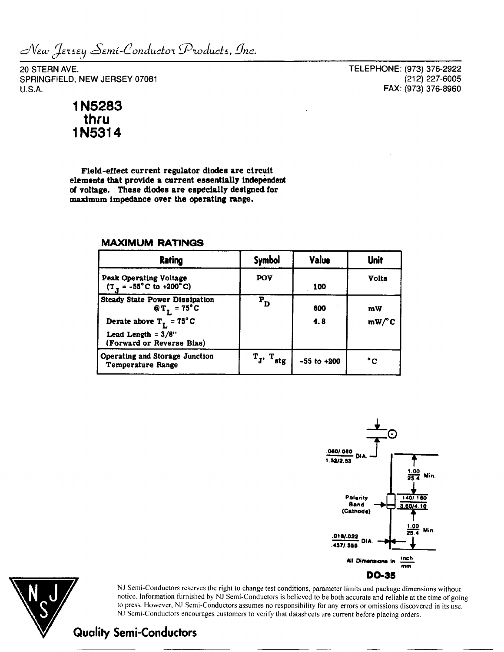New Jersey Semi-Conductor Products, Inc.

20 STERN AVE. SPRINGFIELD, NEW JERSEY 07081 U.S.A.

TELEPHONE: (973) 376-2922 (212) 227-6005 FAX: (973) 376-8960

## **1N5283** thru 1N5314

**Field-effect current regulator diodes are circuit elements that provide a current essentially Independent of voltage. These diodes are especially designed for maximum impedance over the operating range.**

| <b>Rating</b>                                                                                                                                                 | <b>Symbol</b>                                          | Value           | Unit         |  |
|---------------------------------------------------------------------------------------------------------------------------------------------------------------|--------------------------------------------------------|-----------------|--------------|--|
| <b>Peak Operating Voltage</b><br>$(TT = -55oC to +200oC)$                                                                                                     | POV                                                    | 100             | <b>Volts</b> |  |
| <b>Steady State Power Dissipation</b><br>$QT_r = 75^{\circ}C$<br>Derate above $T_{\tau} = 75^{\circ}$ C<br>Lead Length = $3/8$ "<br>(Forward or Reverse Bias) | $P_{D}$                                                | 600<br>4.8      | mW<br>mW/C   |  |
| Operating and Storage Junction<br><b>Temperature Range</b>                                                                                                    | $\mathbf{T}_{\mathbf{J'}}$<br>$\cdot$ T <sub>stg</sub> | $-55$ to $+200$ | °c           |  |

## **MAXIMUM RATINGS**





»J Semi-Conductors reserves the right to change test conditions, parameter limits and package dimensions without notice. Information furnished by NJ Semi-Conductors is believed to be both accurate and reliable at the time of going to press. However, NJ Semi-Conductors assumes no responsibility for any errors or omissions discovered in its use. NJ Semi-Conductors encourages customers to verity that datasheets are current before placing orders.

**Quality Semi-Conductors**